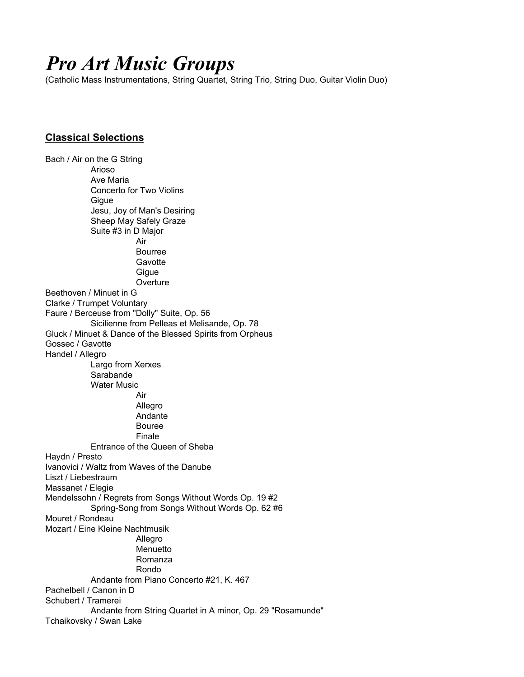# *Pro Art Music Groups*

(Catholic Mass Instrumentations, String Quartet, String Trio, String Duo, Guitar Violin Duo)

## **Classical Selections**

Bach / Air on the G String Arioso Ave Maria Concerto for Two Violins **Gique** Jesu, Joy of Man's Desiring Sheep May Safely Graze Suite #3 in D Major Air Bourree **Gavotte Gigue Overture** Beethoven / Minuet in G Clarke / Trumpet Voluntary Faure / Berceuse from "Dolly" Suite, Op. 56 Sicilienne from Pelleas et Melisande, Op. 78 Gluck / Minuet & Dance of the Blessed Spirits from Orpheus Gossec / Gavotte Handel / Allegro Largo from Xerxes Sarabande Water Music Air Allegro Andante Bouree Finale Entrance of the Queen of Sheba Haydn / Presto Ivanovici / Waltz from Waves of the Danube Liszt / Liebestraum Massanet / Elegie Mendelssohn / Regrets from Songs Without Words Op. 19 #2 Spring-Song from Songs Without Words Op. 62 #6 Mouret / Rondeau Mozart / Eine Kleine Nachtmusik Allegro Menuetto Romanza Rondo Andante from Piano Concerto #21, K. 467 Pachelbell / Canon in D Schubert / Tramerei Andante from String Quartet in A minor, Op. 29 "Rosamunde" Tchaikovsky / Swan Lake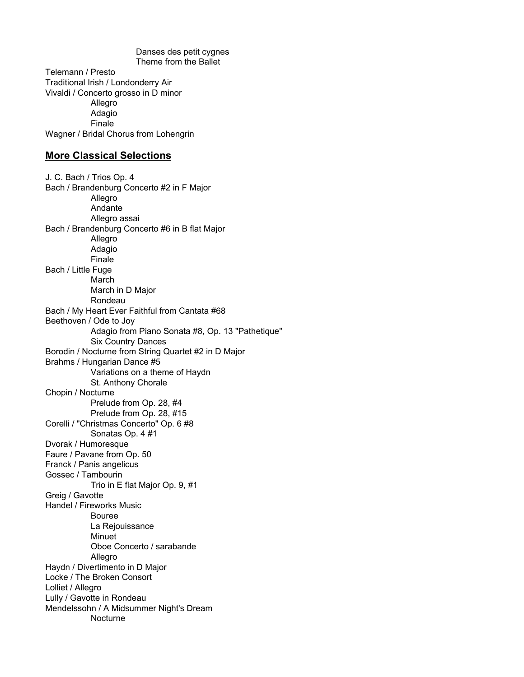Danses des petit cygnes Theme from the Ballet Telemann / Presto Traditional Irish / Londonderry Air Vivaldi / Concerto grosso in D minor Allegro Adagio Finale Wagner / Bridal Chorus from Lohengrin **More Classical Selections** J. C. Bach / Trios Op. 4 Bach / Brandenburg Concerto #2 in F Major **Allegro** Andante Allegro assai Bach / Brandenburg Concerto #6 in B flat Major Allegro Adagio Finale Bach / Little Fuge March March in D Major Rondeau Bach / My Heart Ever Faithful from Cantata #68 Beethoven / Ode to Joy Adagio from Piano Sonata #8, Op. 13 "Pathetique" Six Country Dances Borodin / Nocturne from String Quartet #2 in D Major Brahms / Hungarian Dance #5 Variations on a theme of Haydn St. Anthony Chorale Chopin / Nocturne Prelude from Op. 28, #4 Prelude from Op. 28, #15 Corelli / "Christmas Concerto" Op. 6 #8 Sonatas Op. 4 #1 Dvorak / Humoresque Faure / Pavane from Op. 50 Franck / Panis angelicus Gossec / Tambourin Trio in E flat Major Op. 9, #1

Greig / Gavotte Handel / Fireworks Music Bouree La Rejouissance

> Minuet Oboe Concerto / sarabande

Allegro

Haydn / Divertimento in D Major

Locke / The Broken Consort Lolliet / Allegro

Lully / Gavotte in Rondeau

Mendelssohn / A Midsummer Night's Dream

**Nocturne**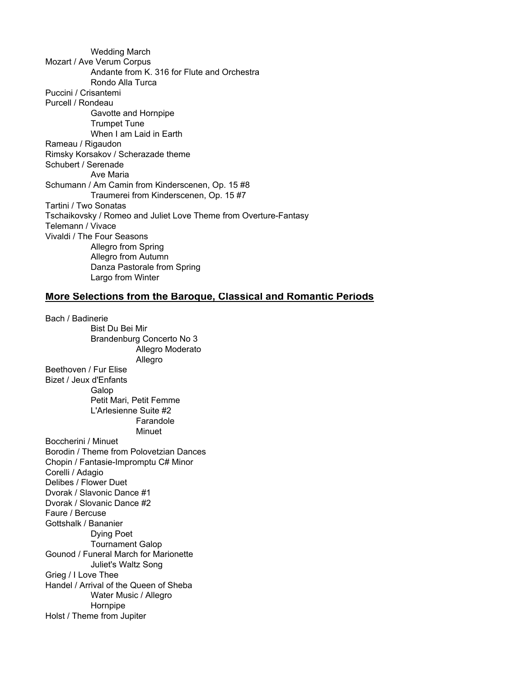Wedding March Mozart / Ave Verum Corpus Andante from K. 316 for Flute and Orchestra Rondo Alla Turca Puccini / Crisantemi Purcell / Rondeau Gavotte and Hornpipe Trumpet Tune When I am Laid in Earth Rameau / Rigaudon Rimsky Korsakov / Scherazade theme Schubert / Serenade Ave Maria Schumann / Am Camin from Kinderscenen, Op. 15 #8 Traumerei from Kinderscenen, Op. 15 #7 Tartini / Two Sonatas Tschaikovsky / Romeo and Juliet Love Theme from Overture-Fantasy Telemann / Vivace Vivaldi / The Four Seasons Allegro from Spring Allegro from Autumn Danza Pastorale from Spring Largo from Winter

#### **More Selections from the Baroque, Classical and Romantic Periods**

Bach / Badinerie Bist Du Bei Mir Brandenburg Concerto No 3 Allegro Moderato Allegro Beethoven / Fur Elise Bizet / Jeux d'Enfants Galop Petit Mari, Petit Femme L'Arlesienne Suite #2 Farandole Minuet Boccherini / Minuet Borodin / Theme from Polovetzian Dances Chopin / Fantasie-Impromptu C# Minor Corelli / Adagio Delibes / Flower Duet Dvorak / Slavonic Dance #1 Dvorak / Slovanic Dance #2 Faure / Bercuse Gottshalk / Bananier Dying Poet Tournament Galop Gounod / Funeral March for Marionette Juliet's Waltz Song Grieg / I Love Thee Handel / Arrival of the Queen of Sheba Water Music / Allegro Hornpipe Holst / Theme from Jupiter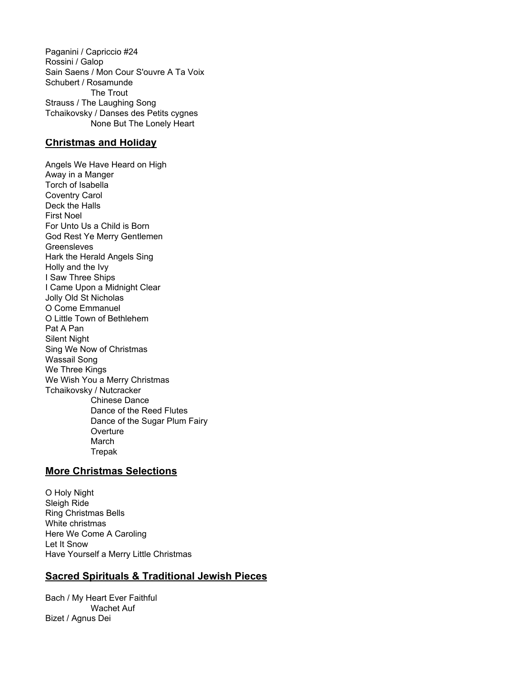Paganini / Capriccio #24 Rossini / Galop Sain Saens / Mon Cour S'ouvre A Ta Voix Schubert / Rosamunde The Trout Strauss / The Laughing Song Tchaikovsky / Danses des Petits cygnes None But The Lonely Heart

## **Christmas and Holiday**

Angels We Have Heard on High Away in a Manger Torch of Isabella Coventry Carol Deck the Halls First Noel For Unto Us a Child is Born God Rest Ye Merry Gentlemen **Greensleves** Hark the Herald Angels Sing Holly and the Ivy I Saw Three Ships I Came Upon a Midnight Clear Jolly Old St Nicholas O Come Emmanuel O Little Town of Bethlehem Pat A Pan Silent Night Sing We Now of Christmas Wassail Song We Three Kings We Wish You a Merry Christmas Tchaikovsky / Nutcracker Chinese Dance Dance of the Reed Flutes Dance of the Sugar Plum Fairy **Overture** March Trepak

## **More Christmas Selections**

O Holy Night Sleigh Ride Ring Christmas Bells White christmas Here We Come A Caroling Let It Snow Have Yourself a Merry Little Christmas

## **Sacred Spirituals & Traditional Jewish Pieces**

Bach / My Heart Ever Faithful Wachet Auf Bizet / Agnus Dei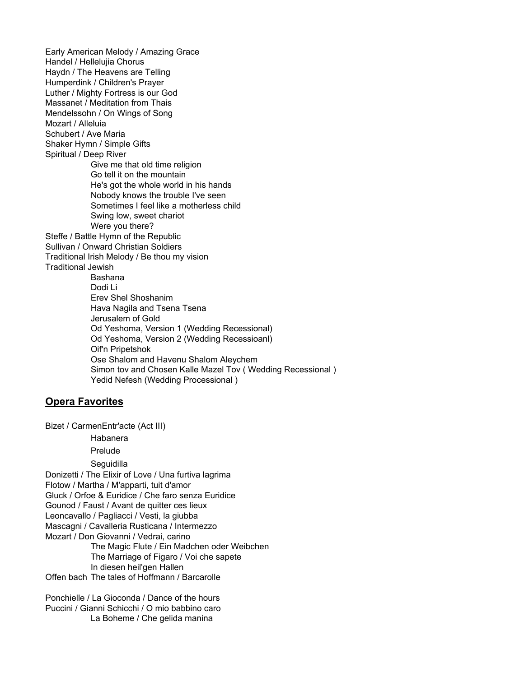Early American Melody / Amazing Grace Handel / Hellelujia Chorus Haydn / The Heavens are Telling Humperdink / Children's Prayer Luther / Mighty Fortress is our God Massanet / Meditation from Thais Mendelssohn / On Wings of Song Mozart / Alleluia Schubert / Ave Maria Shaker Hymn / Simple Gifts Spiritual / Deep River Give me that old time religion Go tell it on the mountain He's got the whole world in his hands Nobody knows the trouble I've seen Sometimes I feel like a motherless child Swing low, sweet chariot Were you there? Steffe / Battle Hymn of the Republic Sullivan / Onward Christian Soldiers Traditional Irish Melody / Be thou my vision Traditional Jewish Bashana Dodi Li Erev Shel Shoshanim Hava Nagila and Tsena Tsena Jerusalem of Gold Od Yeshoma, Version 1 (Wedding Recessional) Od Yeshoma, Version 2 (Wedding Recessioanl) Oif'n Pripetshok Ose Shalom and Havenu Shalom Aleychem Simon tov and Chosen Kalle Mazel Tov ( Wedding Recessional ) Yedid Nefesh (Wedding Processional )

## **Opera Favorites**

Bizet / CarmenEntr'acte (Act III)

Habanera

Prelude

**Seguidilla** 

Donizetti / The Elixir of Love / Una furtiva lagrima

Flotow / Martha / M'apparti, tuit d'amor

Gluck / Orfoe & Euridice / Che faro senza Euridice

Gounod / Faust / Avant de quitter ces lieux

Leoncavallo / Pagliacci / Vesti, la giubba

Mascagni / Cavalleria Rusticana / Intermezzo

Mozart / Don Giovanni / Vedrai, carino

The Magic Flute / Ein Madchen oder Weibchen The Marriage of Figaro / Voi che sapete In diesen heil'gen Hallen

Offen bach The tales of Hoffmann / Barcarolle

Ponchielle / La Gioconda / Dance of the hours Puccini / Gianni Schicchi / O mio babbino caro La Boheme / Che gelida manina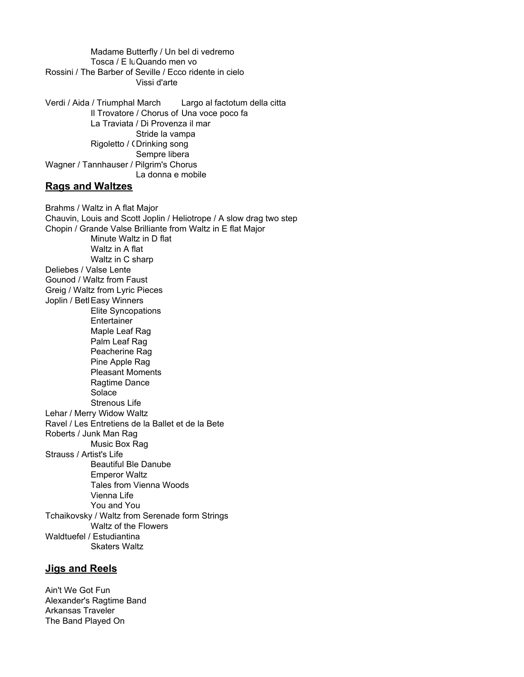Madame Butterfly / Un bel di vedremo Tosca / E lu Quando men vo Rossini / The Barber of Seville / Ecco ridente in cielo Vissi d'arte

Verdi / Aida / Triumphal March Largo al factotum della citta Il Trovatore / Chorus of Una voce poco fa La Traviata / Di Provenza il mar Stride la vampa Rigoletto / CDrinking song Sempre libera Wagner / Tannhauser / Pilgrim's Chorus La donna e mobile

#### **Rags and Waltzes**

Brahms / Waltz in A flat Major Chauvin, Louis and Scott Joplin / Heliotrope / A slow drag two step Chopin / Grande Valse Brilliante from Waltz in E flat Major Minute Waltz in D flat Waltz in A flat Waltz in C sharp Deliebes / Valse Lente Gounod / Waltz from Faust Greig / Waltz from Lyric Pieces Joplin / Betl Easy Winners Elite Syncopations **Entertainer** Maple Leaf Rag Palm Leaf Rag Peacherine Rag Pine Apple Rag Pleasant Moments Ragtime Dance Solace Strenous Life Lehar / Merry Widow Waltz Ravel / Les Entretiens de la Ballet et de la Bete Roberts / Junk Man Rag Music Box Rag Strauss / Artist's Life Beautiful Ble Danube Emperor Waltz Tales from Vienna Woods Vienna Life You and You Tchaikovsky / Waltz from Serenade form Strings Waltz of the Flowers Waldtuefel / Estudiantina Skaters Waltz

### **Jigs and Reels**

Ain't We Got Fun Alexander's Ragtime Band Arkansas Traveler The Band Played On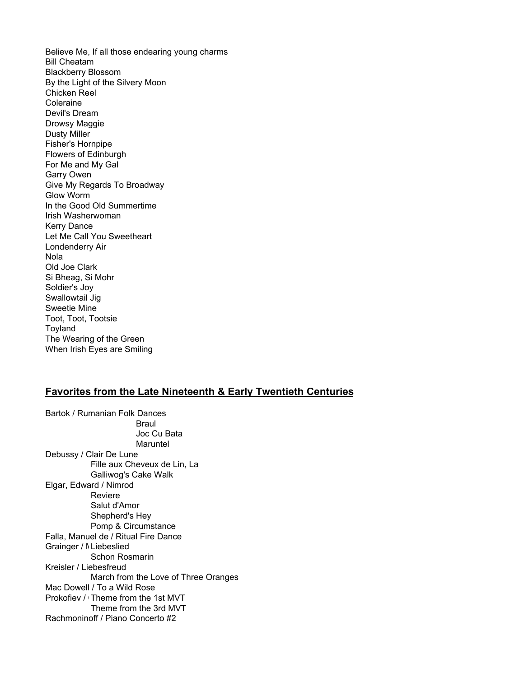Believe Me, If all those endearing young charms Bill Cheatam Blackberry Blossom By the Light of the Silvery Moon Chicken Reel Coleraine Devil's Dream Drowsy Maggie Dusty Miller Fisher's Hornpipe Flowers of Edinburgh For Me and My Gal Garry Owen Give My Regards To Broadway Glow Worm In the Good Old Summertime Irish Washerwoman Kerry Dance Let Me Call You Sweetheart Londenderry Air Nola Old Joe Clark Si Bheag, Si Mohr Soldier's Joy Swallowtail Jig Sweetie Mine Toot, Toot, Tootsie **Toyland** The Wearing of the Green When Irish Eyes are Smiling

### **Favorites from the Late Nineteenth & Early Twentieth Centuries**

Bartok / Rumanian Folk Dances Braul Joc Cu Bata Maruntel Debussy / Clair De Lune Fille aux Cheveux de Lin, La Galliwog's Cake Walk Elgar, Edward / Nimrod Reviere Salut d'Amor Shepherd's Hey Pomp & Circumstance Falla, Manuel de / Ritual Fire Dance Grainger / NLiebeslied Schon Rosmarin Kreisler / Liebesfreud March from the Love of Three Oranges Mac Dowell / To a Wild Rose Prokofiev / Theme from the 1st MVT Theme from the 3rd MVT Rachmoninoff / Piano Concerto #2